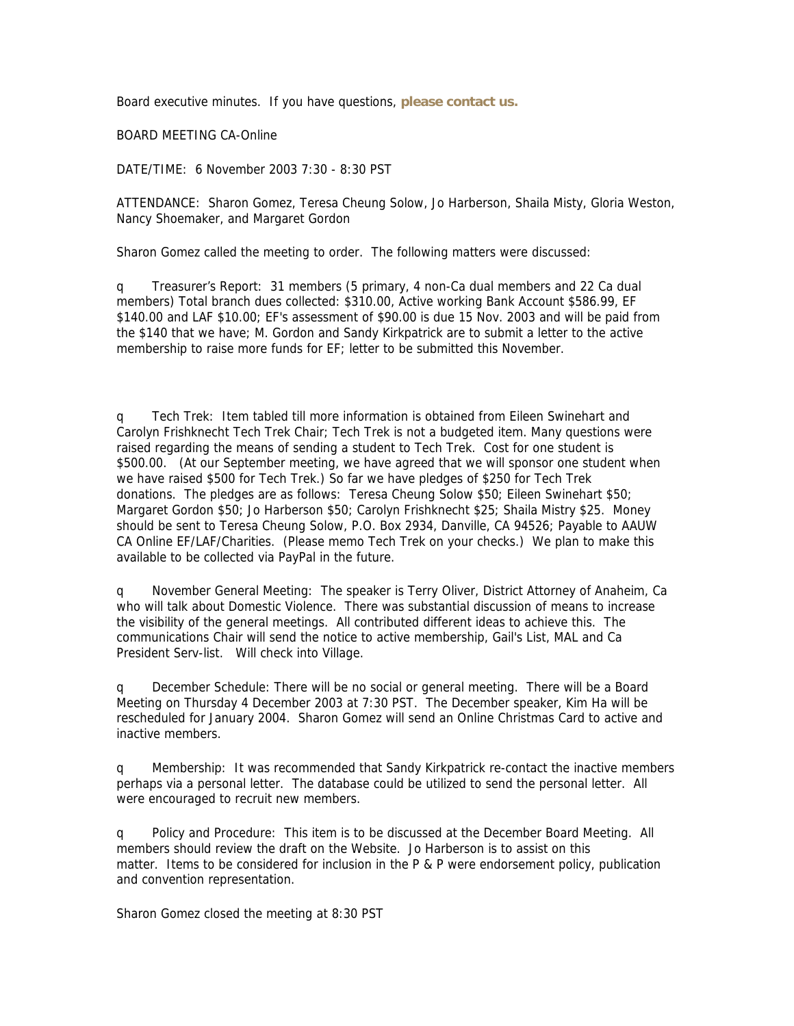Board executive minutes. If you have questions, **please contact us.**

BOARD MEETING CA-Online

DATE/TIME: 6 November 2003 7:30 - 8:30 PST

ATTENDANCE: Sharon Gomez, Teresa Cheung Solow, Jo Harberson, Shaila Misty, Gloria Weston, Nancy Shoemaker, and Margaret Gordon

Sharon Gomez called the meeting to order. The following matters were discussed:

q Treasurer's Report: 31 members (5 primary, 4 non-Ca dual members and 22 Ca dual members) Total branch dues collected: \$310.00, Active working Bank Account \$586.99, EF \$140.00 and LAF \$10.00; EF's assessment of \$90.00 is due 15 Nov. 2003 and will be paid from the \$140 that we have; M. Gordon and Sandy Kirkpatrick are to submit a letter to the active membership to raise more funds for EF; letter to be submitted this November.

q Tech Trek: Item tabled till more information is obtained from Eileen Swinehart and Carolyn Frishknecht Tech Trek Chair; Tech Trek is not a budgeted item. Many questions were raised regarding the means of sending a student to Tech Trek. Cost for one student is \$500.00. (At our September meeting, we have agreed that we will sponsor one student when we have raised \$500 for Tech Trek.) So far we have pledges of \$250 for Tech Trek donations. The pledges are as follows: Teresa Cheung Solow \$50; Eileen Swinehart \$50; Margaret Gordon \$50; Jo Harberson \$50; Carolyn Frishknecht \$25; Shaila Mistry \$25. Money should be sent to Teresa Cheung Solow, P.O. Box 2934, Danville, CA 94526; Payable to AAUW CA Online EF/LAF/Charities. (Please memo Tech Trek on your checks.) We plan to make this available to be collected via PayPal in the future.

q November General Meeting: The speaker is Terry Oliver, District Attorney of Anaheim, Ca who will talk about Domestic Violence. There was substantial discussion of means to increase the visibility of the general meetings. All contributed different ideas to achieve this. The communications Chair will send the notice to active membership, Gail's List, MAL and Ca President Serv-list. Will check into Village.

q December Schedule: There will be no social or general meeting. There will be a Board Meeting on Thursday 4 December 2003 at 7:30 PST. The December speaker, Kim Ha will be rescheduled for January 2004. Sharon Gomez will send an Online Christmas Card to active and inactive members.

q Membership: It was recommended that Sandy Kirkpatrick re-contact the inactive members perhaps via a personal letter. The database could be utilized to send the personal letter. All were encouraged to recruit new members.

q Policy and Procedure: This item is to be discussed at the December Board Meeting. All members should review the draft on the Website. Jo Harberson is to assist on this matter. Items to be considered for inclusion in the P & P were endorsement policy, publication and convention representation.

Sharon Gomez closed the meeting at 8:30 PST